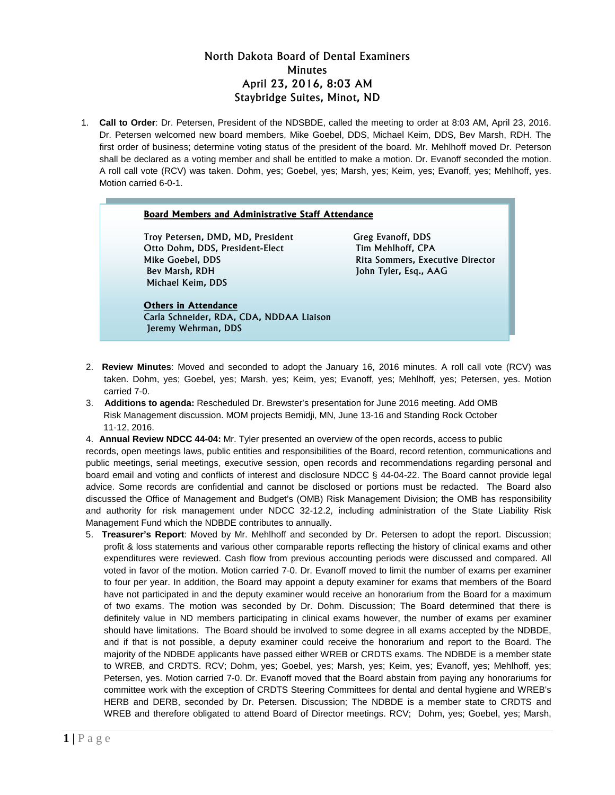# North Dakota Board of Dental Examiners **Minutes** April 23, 2016, 8:03 AM Staybridge Suites, Minot, ND

1. **Call to Order**: Dr. Petersen, President of the NDSBDE, called the meeting to order at 8:03 AM, April 23, 2016. Dr. Petersen welcomed new board members, Mike Goebel, DDS, Michael Keim, DDS, Bev Marsh, RDH. The first order of business; determine voting status of the president of the board. Mr. Mehlhoff moved Dr. Peterson shall be declared as a voting member and shall be entitled to make a motion. Dr. Evanoff seconded the motion. A roll call vote (RCV) was taken. Dohm, yes; Goebel, yes; Marsh, yes; Keim, yes; Evanoff, yes; Mehlhoff, yes. Motion carried 6-0-1.

#### **Board Members and Administrative Staff Attendance**

Troy Petersen, DMD, MD, President Greg Evanoff, DDS Otto Dohm, DDS, President-Elect Tim Mehlhoff, CPA Mike Goebel, DDS **Rita Sommers, Executive Director** Bev Marsh, RDH John Tyler, Esq., AAG Michael Keim, DDS

### **Others in Attendance** Carla Schneider, RDA, CDA, NDDAA Liaison Jeremy Wehrman, DDS

- 2. **Review Minutes**: Moved and seconded to adopt the January 16, 2016 minutes. A roll call vote (RCV) was taken. Dohm, yes; Goebel, yes; Marsh, yes; Keim, yes; Evanoff, yes; Mehlhoff, yes; Petersen, yes. Motion carried 7-0.
- 3. **Additions to agenda:** Rescheduled Dr. Brewster's presentation for June 2016 meeting. Add OMB Risk Management discussion. MOM projects Bemidji, MN, June 13-16 and Standing Rock October 11-12, 2016.
- 4. **Annual Review NDCC 44-04:** Mr. Tyler presented an overview of the open records, access to public

records, open meetings laws, public entities and responsibilities of the Board, record retention, communications and public meetings, serial meetings, executive session, open records and recommendations regarding personal and board email and voting and conflicts of interest and disclosure NDCC § 44-04-22. The Board cannot provide legal advice. Some records are confidential and cannot be disclosed or portions must be redacted. The Board also discussed the Office of Management and Budget's (OMB) Risk Management Division; the OMB has responsibility and authority for risk management under NDCC 32-12.2, including administration of the State Liability Risk Management Fund which the NDBDE contributes to annually.

5. **Treasurer's Report**: Moved by Mr. Mehlhoff and seconded by Dr. Petersen to adopt the report. Discussion; profit & loss statements and various other comparable reports reflecting the history of clinical exams and other expenditures were reviewed. Cash flow from previous accounting periods were discussed and compared. All voted in favor of the motion. Motion carried 7-0. Dr. Evanoff moved to limit the number of exams per examiner to four per year. In addition, the Board may appoint a deputy examiner for exams that members of the Board have not participated in and the deputy examiner would receive an honorarium from the Board for a maximum of two exams. The motion was seconded by Dr. Dohm. Discussion; The Board determined that there is definitely value in ND members participating in clinical exams however, the number of exams per examiner should have limitations. The Board should be involved to some degree in all exams accepted by the NDBDE, and if that is not possible, a deputy examiner could receive the honorarium and report to the Board. The majority of the NDBDE applicants have passed either WREB or CRDTS exams. The NDBDE is a member state to WREB, and CRDTS. RCV; Dohm, yes; Goebel, yes; Marsh, yes; Keim, yes; Evanoff, yes; Mehlhoff, yes; Petersen, yes. Motion carried 7-0. Dr. Evanoff moved that the Board abstain from paying any honorariums for committee work with the exception of CRDTS Steering Committees for dental and dental hygiene and WREB's HERB and DERB, seconded by Dr. Petersen. Discussion; The NDBDE is a member state to CRDTS and WREB and therefore obligated to attend Board of Director meetings. RCV; Dohm, yes; Goebel, yes; Marsh,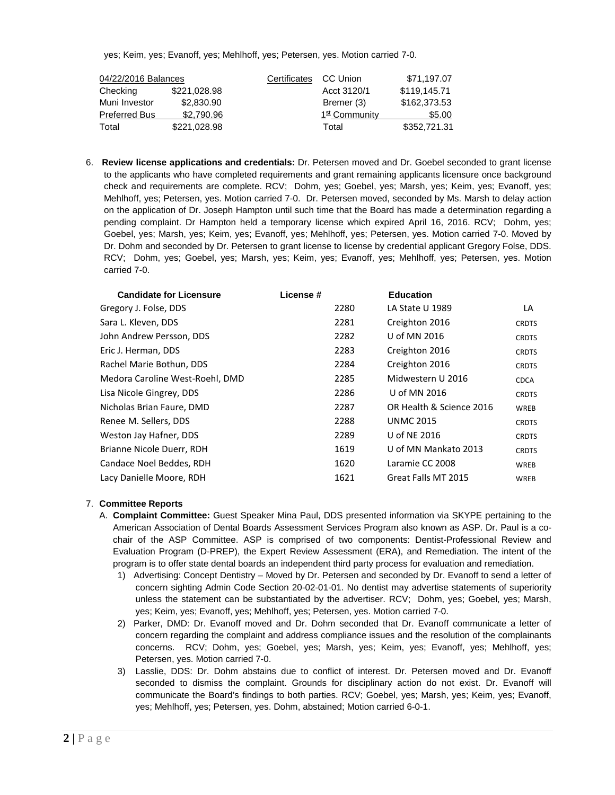yes; Keim, yes; Evanoff, yes; Mehlhoff, yes; Petersen, yes. Motion carried 7-0.

| 04/22/2016 Balances  |              | Certificates | CC Union      | \$71,197.07  |
|----------------------|--------------|--------------|---------------|--------------|
| Checking             | \$221,028.98 |              | Acct 3120/1   | \$119,145.71 |
| Muni Investor        | \$2,830.90   |              | Bremer (3)    | \$162,373,53 |
| <b>Preferred Bus</b> | \$2,790.96   |              | 1st Community | \$5.00       |
| Total                | \$221,028.98 |              | Total         | \$352,721.31 |

6. **Review license applications and credentials:** Dr. Petersen moved and Dr. Goebel seconded to grant license to the applicants who have completed requirements and grant remaining applicants licensure once background check and requirements are complete. RCV; Dohm, yes; Goebel, yes; Marsh, yes; Keim, yes; Evanoff, yes; Mehlhoff, yes; Petersen, yes. Motion carried 7-0. Dr. Petersen moved, seconded by Ms. Marsh to delay action on the application of Dr. Joseph Hampton until such time that the Board has made a determination regarding a pending complaint. Dr Hampton held a temporary license which expired April 16, 2016. RCV; Dohm, yes; Goebel, yes; Marsh, yes; Keim, yes; Evanoff, yes; Mehlhoff, yes; Petersen, yes. Motion carried 7-0. Moved by Dr. Dohm and seconded by Dr. Petersen to grant license to license by credential applicant Gregory Folse, DDS. RCV; Dohm, yes; Goebel, yes; Marsh, yes; Keim, yes; Evanoff, yes; Mehlhoff, yes; Petersen, yes. Motion carried 7-0.

| <b>Candidate for Licensure</b>  | License # | <b>Education</b>         |              |
|---------------------------------|-----------|--------------------------|--------------|
| Gregory J. Folse, DDS           | 2280      | LA State U 1989          | LA           |
| Sara L. Kleven, DDS             | 2281      | Creighton 2016           | <b>CRDTS</b> |
| John Andrew Persson, DDS        | 2282      | U of MN 2016             | <b>CRDTS</b> |
| Eric J. Herman, DDS             | 2283      | Creighton 2016           | <b>CRDTS</b> |
| Rachel Marie Bothun, DDS        | 2284      | Creighton 2016           | <b>CRDTS</b> |
| Medora Caroline West-Roehl, DMD | 2285      | Midwestern U 2016        | <b>CDCA</b>  |
| Lisa Nicole Gingrey, DDS        | 2286      | U of MN 2016             | <b>CRDTS</b> |
| Nicholas Brian Faure, DMD       | 2287      | OR Health & Science 2016 | <b>WREB</b>  |
| Renee M. Sellers, DDS           | 2288      | <b>UNMC 2015</b>         | <b>CRDTS</b> |
| Weston Jay Hafner, DDS          | 2289      | U of NE 2016             | <b>CRDTS</b> |
| Brianne Nicole Duerr, RDH       | 1619      | U of MN Mankato 2013     | <b>CRDTS</b> |
| Candace Noel Beddes, RDH        | 1620      | Laramie CC 2008          | <b>WREB</b>  |
| Lacy Danielle Moore, RDH        | 1621      | Great Falls MT 2015      | <b>WREB</b>  |

### 7. **Committee Reports**

- A. **Complaint Committee:** Guest Speaker Mina Paul, DDS presented information via SKYPE pertaining to the American Association of Dental Boards Assessment Services Program also known as ASP. Dr. Paul is a cochair of the ASP Committee. ASP is comprised of two components: Dentist-Professional Review and Evaluation Program (D-PREP), the Expert Review Assessment (ERA), and Remediation. The intent of the program is to offer state dental boards an independent third party process for evaluation and remediation.
	- 1) Advertising: Concept Dentistry Moved by Dr. Petersen and seconded by Dr. Evanoff to send a letter of concern sighting Admin Code Section 20-02-01-01. No dentist may advertise statements of superiority unless the statement can be substantiated by the advertiser. RCV; Dohm, yes; Goebel, yes; Marsh, yes; Keim, yes; Evanoff, yes; Mehlhoff, yes; Petersen, yes. Motion carried 7-0.
	- 2) Parker, DMD: Dr. Evanoff moved and Dr. Dohm seconded that Dr. Evanoff communicate a letter of concern regarding the complaint and address compliance issues and the resolution of the complainants concerns. RCV; Dohm, yes; Goebel, yes; Marsh, yes; Keim, yes; Evanoff, yes; Mehlhoff, yes; Petersen, yes. Motion carried 7-0.
	- 3) Lasslie, DDS: Dr. Dohm abstains due to conflict of interest. Dr. Petersen moved and Dr. Evanoff seconded to dismiss the complaint. Grounds for disciplinary action do not exist. Dr. Evanoff will communicate the Board's findings to both parties. RCV; Goebel, yes; Marsh, yes; Keim, yes; Evanoff, yes; Mehlhoff, yes; Petersen, yes. Dohm, abstained; Motion carried 6-0-1.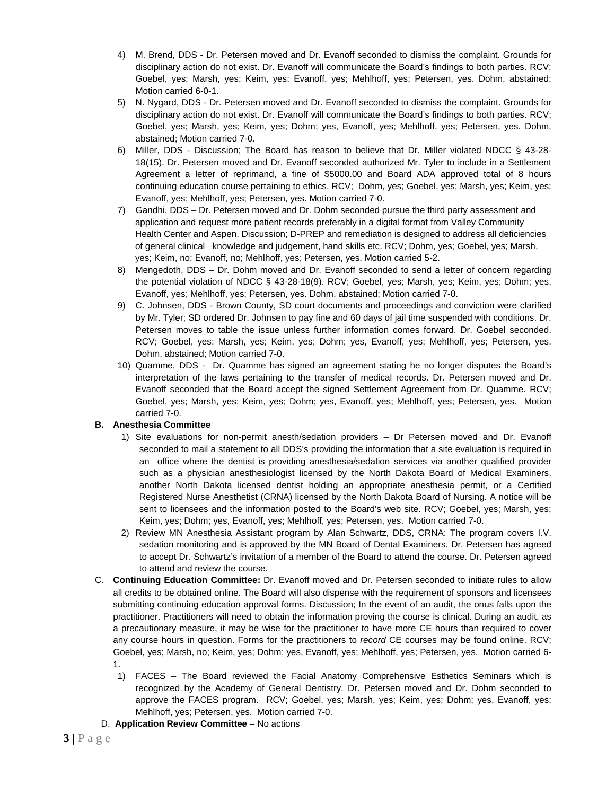- 4) M. Brend, DDS Dr. Petersen moved and Dr. Evanoff seconded to dismiss the complaint. Grounds for disciplinary action do not exist. Dr. Evanoff will communicate the Board's findings to both parties. RCV; Goebel, yes; Marsh, yes; Keim, yes; Evanoff, yes; Mehlhoff, yes; Petersen, yes. Dohm, abstained; Motion carried 6-0-1.
- 5) N. Nygard, DDS Dr. Petersen moved and Dr. Evanoff seconded to dismiss the complaint. Grounds for disciplinary action do not exist. Dr. Evanoff will communicate the Board's findings to both parties. RCV; Goebel, yes; Marsh, yes; Keim, yes; Dohm; yes, Evanoff, yes; Mehlhoff, yes; Petersen, yes. Dohm, abstained; Motion carried 7-0.
- 6) Miller, DDS Discussion; The Board has reason to believe that Dr. Miller violated NDCC § 43-28- 18(15). Dr. Petersen moved and Dr. Evanoff seconded authorized Mr. Tyler to include in a Settlement Agreement a letter of reprimand, a fine of \$5000.00 and Board ADA approved total of 8 hours continuing education course pertaining to ethics. RCV; Dohm, yes; Goebel, yes; Marsh, yes; Keim, yes; Evanoff, yes; Mehlhoff, yes; Petersen, yes. Motion carried 7-0.
- 7) Gandhi, DDS Dr. Petersen moved and Dr. Dohm seconded pursue the third party assessment and application and request more patient records preferably in a digital format from Valley Community Health Center and Aspen. Discussion; D-PREP and remediation is designed to address all deficiencies of general clinical knowledge and judgement, hand skills etc. RCV; Dohm, yes; Goebel, yes; Marsh, yes; Keim, no; Evanoff, no; Mehlhoff, yes; Petersen, yes. Motion carried 5-2.
- 8) Mengedoth, DDS Dr. Dohm moved and Dr. Evanoff seconded to send a letter of concern regarding the potential violation of NDCC § 43-28-18(9). RCV; Goebel, yes; Marsh, yes; Keim, yes; Dohm; yes, Evanoff, yes; Mehlhoff, yes; Petersen, yes. Dohm, abstained; Motion carried 7-0.
- 9) C. Johnsen, DDS Brown County, SD court documents and proceedings and conviction were clarified by Mr. Tyler; SD ordered Dr. Johnsen to pay fine and 60 days of jail time suspended with conditions. Dr. Petersen moves to table the issue unless further information comes forward. Dr. Goebel seconded. RCV; Goebel, yes; Marsh, yes; Keim, yes; Dohm; yes, Evanoff, yes; Mehlhoff, yes; Petersen, yes. Dohm, abstained; Motion carried 7-0.
- 10) Quamme, DDS Dr. Quamme has signed an agreement stating he no longer disputes the Board's interpretation of the laws pertaining to the transfer of medical records. Dr. Petersen moved and Dr. Evanoff seconded that the Board accept the signed Settlement Agreement from Dr. Quamme. RCV; Goebel, yes; Marsh, yes; Keim, yes; Dohm; yes, Evanoff, yes; Mehlhoff, yes; Petersen, yes. Motion carried 7-0.

# **B. Anesthesia Committee**

- 1) Site evaluations for non-permit anesth/sedation providers Dr Petersen moved and Dr. Evanoff seconded to mail a statement to all DDS's providing the information that a site evaluation is required in an office where the dentist is providing anesthesia/sedation services via another qualified provider such as a physician anesthesiologist licensed by the North Dakota Board of Medical Examiners, another North Dakota licensed dentist holding an appropriate anesthesia permit, or a Certified Registered Nurse Anesthetist (CRNA) licensed by the North Dakota Board of Nursing. A notice will be sent to licensees and the information posted to the Board's web site. RCV; Goebel, yes; Marsh, yes; Keim, yes; Dohm; yes, Evanoff, yes; Mehlhoff, yes; Petersen, yes. Motion carried 7-0.
- 2) Review MN Anesthesia Assistant program by Alan Schwartz, DDS, CRNA: The program covers I.V. sedation monitoring and is approved by the MN Board of Dental Examiners. Dr. Petersen has agreed to accept Dr. Schwartz's invitation of a member of the Board to attend the course. Dr. Petersen agreed to attend and review the course.
- C. **Continuing Education Committee:** Dr. Evanoff moved and Dr. Petersen seconded to initiate rules to allow all credits to be obtained online. The Board will also dispense with the requirement of sponsors and licensees submitting continuing education approval forms. Discussion; In the event of an audit, the onus falls upon the practitioner. Practitioners will need to obtain the information proving the course is clinical. During an audit, as a precautionary measure, it may be wise for the practitioner to have more CE hours than required to cover any course hours in question. Forms for the practitioners to *record* CE courses may be found online. RCV; Goebel, yes; Marsh, no; Keim, yes; Dohm; yes, Evanoff, yes; Mehlhoff, yes; Petersen, yes. Motion carried 6- 1.
	- 1) FACES The Board reviewed the Facial Anatomy Comprehensive Esthetics Seminars which is recognized by the Academy of General Dentistry. Dr. Petersen moved and Dr. Dohm seconded to approve the FACES program. RCV; Goebel, yes; Marsh, yes; Keim, yes; Dohm; yes, Evanoff, yes; Mehlhoff, yes; Petersen, yes. Motion carried 7-0.
- D. **Application Review Committee** No actions